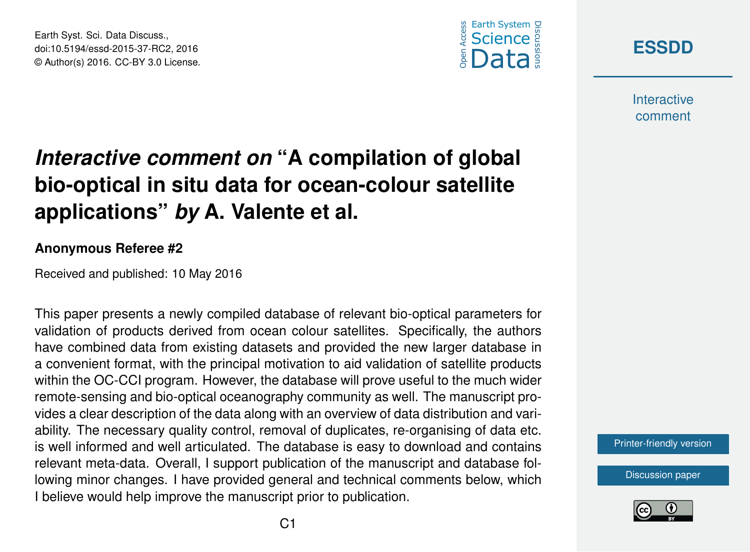





**Interactive** comment

# *Interactive comment on* **"A compilation of global bio-optical in situ data for ocean-colour satellite applications"** *by* **A. Valente et al.**

#### **Anonymous Referee #2**

Received and published: 10 May 2016

This paper presents a newly compiled database of relevant bio-optical parameters for validation of products derived from ocean colour satellites. Specifically, the authors have combined data from existing datasets and provided the new larger database in a convenient format, with the principal motivation to aid validation of satellite products within the OC-CCI program. However, the database will prove useful to the much wider remote-sensing and bio-optical oceanography community as well. The manuscript provides a clear description of the data along with an overview of data distribution and variability. The necessary quality control, removal of duplicates, re-organising of data etc. is well informed and well articulated. The database is easy to download and contains relevant meta-data. Overall, I support publication of the manuscript and database following minor changes. I have provided general and technical comments below, which I believe would help improve the manuscript prior to publication.

[Printer-friendly version](http://www.earth-syst-sci-data-discuss.net/essd-2015-37/essd-2015-37-RC2-print.pdf)

[Discussion paper](http://www.earth-syst-sci-data-discuss.net/essd-2015-37)

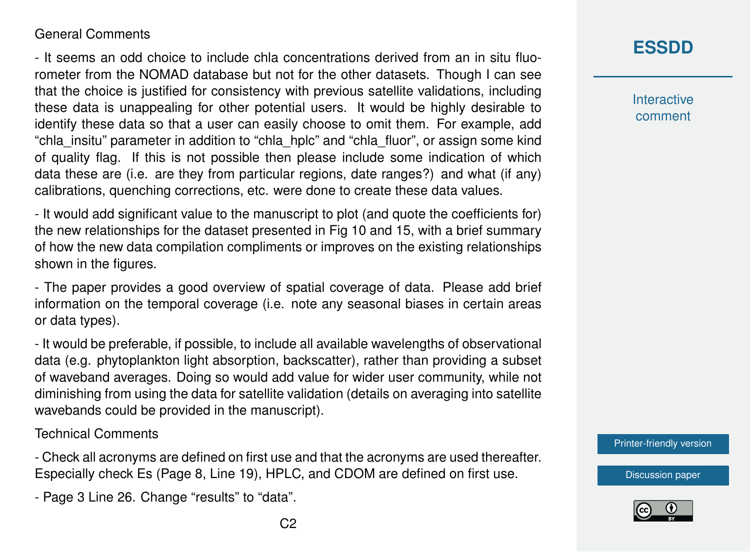## General Comments

- It seems an odd choice to include chla concentrations derived from an in situ fluorometer from the NOMAD database but not for the other datasets. Though I can see that the choice is justified for consistency with previous satellite validations, including these data is unappealing for other potential users. It would be highly desirable to identify these data so that a user can easily choose to omit them. For example, add "chla\_insitu" parameter in addition to "chla\_hplc" and "chla\_fluor", or assign some kind of quality flag. If this is not possible then please include some indication of which data these are (i.e. are they from particular regions, date ranges?) and what (if any) calibrations, quenching corrections, etc. were done to create these data values.

- It would add significant value to the manuscript to plot (and quote the coefficients for) the new relationships for the dataset presented in Fig 10 and 15, with a brief summary of how the new data compilation compliments or improves on the existing relationships shown in the figures.

- The paper provides a good overview of spatial coverage of data. Please add brief information on the temporal coverage (i.e. note any seasonal biases in certain areas or data types).

- It would be preferable, if possible, to include all available wavelengths of observational data (e.g. phytoplankton light absorption, backscatter), rather than providing a subset of waveband averages. Doing so would add value for wider user community, while not diminishing from using the data for satellite validation (details on averaging into satellite wavebands could be provided in the manuscript).

### Technical Comments

- Check all acronyms are defined on first use and that the acronyms are used thereafter. Especially check Es (Page 8, Line 19), HPLC, and CDOM are defined on first use.

- Page 3 Line 26. Change "results" to "data".

**[ESSDD](http://www.earth-syst-sci-data-discuss.net/)**

**Interactive** comment

[Printer-friendly version](http://www.earth-syst-sci-data-discuss.net/essd-2015-37/essd-2015-37-RC2-print.pdf)

[Discussion paper](http://www.earth-syst-sci-data-discuss.net/essd-2015-37)